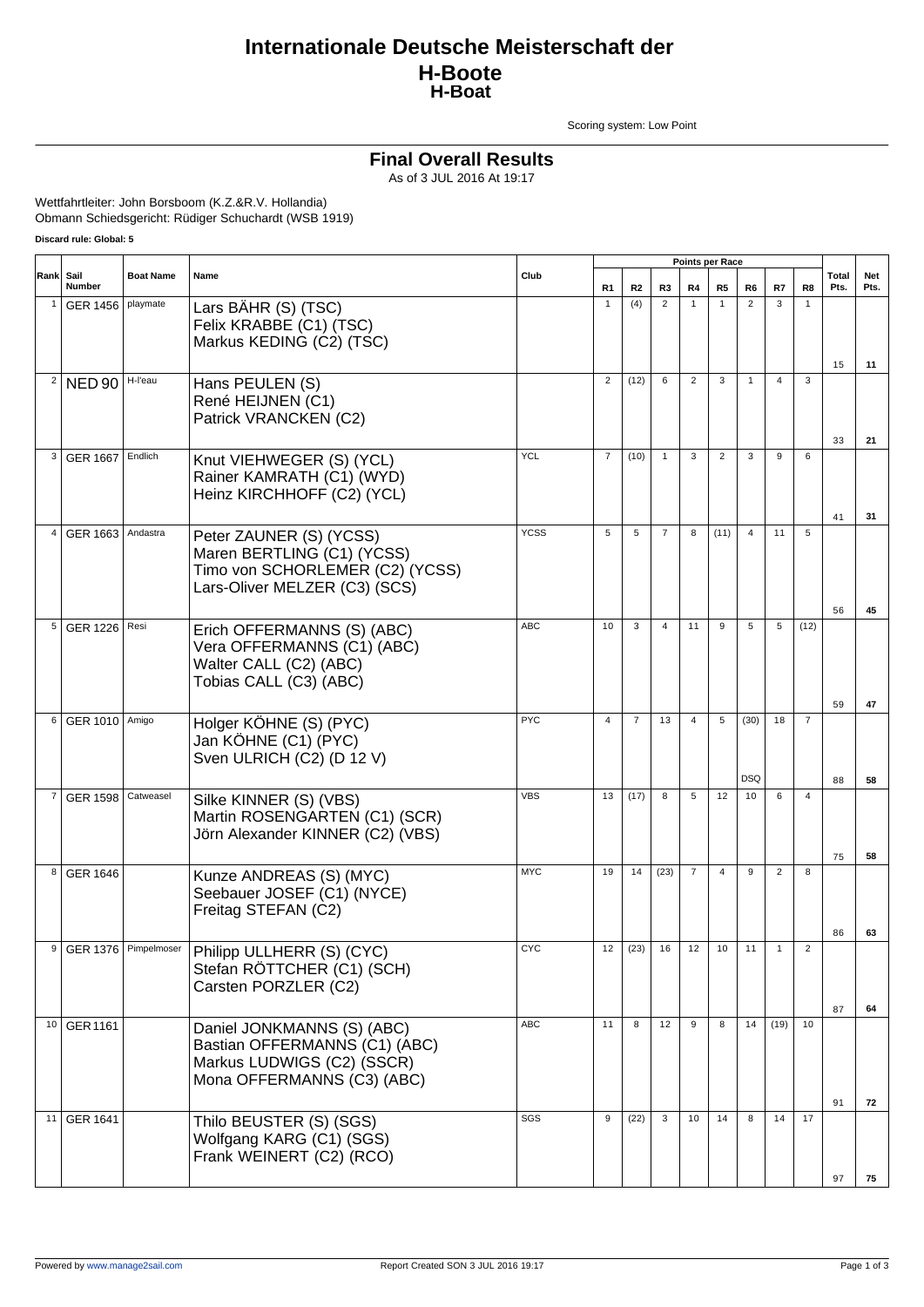## **Internationale Deutsche Meisterschaft der H-Boote H-Boat**

Scoring system: Low Point

#### **Final Overall Results**

As of 3 JUL 2016 At 19:17

Wettfahrtleiter: John Borsboom (K.Z.&R.V. Hollandia) Obmann Schiedsgericht: Rüdiger Schuchardt (WSB 1919)

**Discard rule: Global: 5**

|                |                 |                      |                                                                                                                           |             |                |                |                |                | Points per Race |                |                |                |               |             |
|----------------|-----------------|----------------------|---------------------------------------------------------------------------------------------------------------------------|-------------|----------------|----------------|----------------|----------------|-----------------|----------------|----------------|----------------|---------------|-------------|
| Rank           | Sail<br>Number  | <b>Boat Name</b>     | Name                                                                                                                      | Club        | R1             | R <sub>2</sub> | R3             | R4             | R5              | R6             | R7             | R8             | Total<br>Pts. | Net<br>Pts. |
|                | GER 1456        | playmate             | Lars BÄHR (S) (TSC)<br>Felix KRABBE (C1) (TSC)<br>Markus KEDING (C2) (TSC)                                                |             | $\mathbf{1}$   | (4)            | 2              | $\mathbf{1}$   | $\mathbf{1}$    | $\overline{2}$ | 3              | $\mathbf{1}$   |               |             |
|                |                 |                      |                                                                                                                           |             |                |                |                |                |                 |                |                |                | 15            | 11          |
| 2              | <b>NED 90</b>   | H-l'eau              | Hans PEULEN (S)<br>René HEIJNEN (C1)<br>Patrick VRANCKEN (C2)                                                             |             | $\overline{2}$ | (12)           | 6              | 2              | 3               | $\mathbf{1}$   | $\overline{4}$ | 3              |               |             |
|                |                 |                      |                                                                                                                           |             |                |                |                |                |                 |                |                |                | 33            | 21          |
| 3              | GER 1667        | Endlich              | Knut VIEHWEGER (S) (YCL)<br>Rainer KAMRATH (C1) (WYD)<br>Heinz KIRCHHOFF (C2) (YCL)                                       | <b>YCL</b>  | $\overline{7}$ | (10)           | $\mathbf{1}$   | 3              | $\overline{2}$  | 3              | 9              | 6              | 41            | 31          |
| 4              | GER 1663        | Andastra             | Peter ZAUNER (S) (YCSS)<br>Maren BERTLING (C1) (YCSS)<br>Timo von SCHORLEMER (C2) (YCSS)<br>Lars-Oliver MELZER (C3) (SCS) | <b>YCSS</b> | 5              | 5              | $\overline{7}$ | 8              | (11)            | $\overline{4}$ | 11             | 5              | 56            | 45          |
| 5              | <b>GER 1226</b> | Resi                 | Erich OFFERMANNS (S) (ABC)<br>Vera OFFERMANNS (C1) (ABC)<br>Walter CALL (C2) (ABC)<br>Tobias CALL (C3) (ABC)              | <b>ABC</b>  | 10             | 3              | $\overline{4}$ | 11             | 9               | 5              | 5              | (12)           |               |             |
| 6              |                 |                      |                                                                                                                           | <b>PYC</b>  | $\overline{4}$ | $\overline{7}$ | 13             | $\overline{4}$ | 5               | (30)           | 18             | $\overline{7}$ | 59            | 47          |
|                | <b>GER 1010</b> | Amigo                | Holger KÖHNE (S) (PYC)<br>Jan KÖHNE (C1) (PYC)<br>Sven ULRICH (C2) (D 12 V)                                               |             |                |                |                |                |                 | <b>DSQ</b>     |                |                | 88            | 58          |
| $\overline{7}$ | <b>GER 1598</b> | Catweasel            | Silke KINNER (S) (VBS)<br>Martin ROSENGARTEN (C1) (SCR)<br>Jörn Alexander KINNER (C2) (VBS)                               | <b>VBS</b>  | 13             | (17)           | 8              | 5              | 12              | 10             | 6              | $\overline{4}$ | 75            | 58          |
| 8              | <b>GER 1646</b> |                      | Kunze ANDREAS (S) (MYC)<br>Seebauer JOSEF (C1) (NYCE)<br>Freitag STEFAN (C2)                                              | <b>MYC</b>  | 19             | 14             | (23)           | $\overline{7}$ | $\overline{4}$  | 9              | $\overline{2}$ | 8              | 86            | 63          |
| 9              |                 | GER 1376 Pimpelmoser | Philipp ULLHERR (S) (CYC)<br>Stefan RÖTTCHER (C1) (SCH)<br>Carsten PORZLER (C2)                                           | <b>CYC</b>  | 12             |                | $(23)$ 16      | 12             | 10              | 11             |                |                | 87            | 64          |
|                | 10 GER 1161     |                      | Daniel JONKMANNS (S) (ABC)<br>Bastian OFFERMANNS (C1) (ABC)<br>Markus LUDWIGS (C2) (SSCR)<br>Mona OFFERMANNS (C3) (ABC)   | <b>ABC</b>  | 11             | 8              | 12             | 9              | 8               | 14             | (19)           | 10             |               |             |
|                | 11 GER 1641     |                      |                                                                                                                           | SGS         | 9              | (22)           | 3              | 10             | 14              | 8              | 14             | 17             | 91            | 72          |
|                |                 |                      | Thilo BEUSTER (S) (SGS)<br>Wolfgang KARG (C1) (SGS)<br>Frank WEINERT (C2) (RCO)                                           |             |                |                |                |                |                 |                |                |                | 97            | 75          |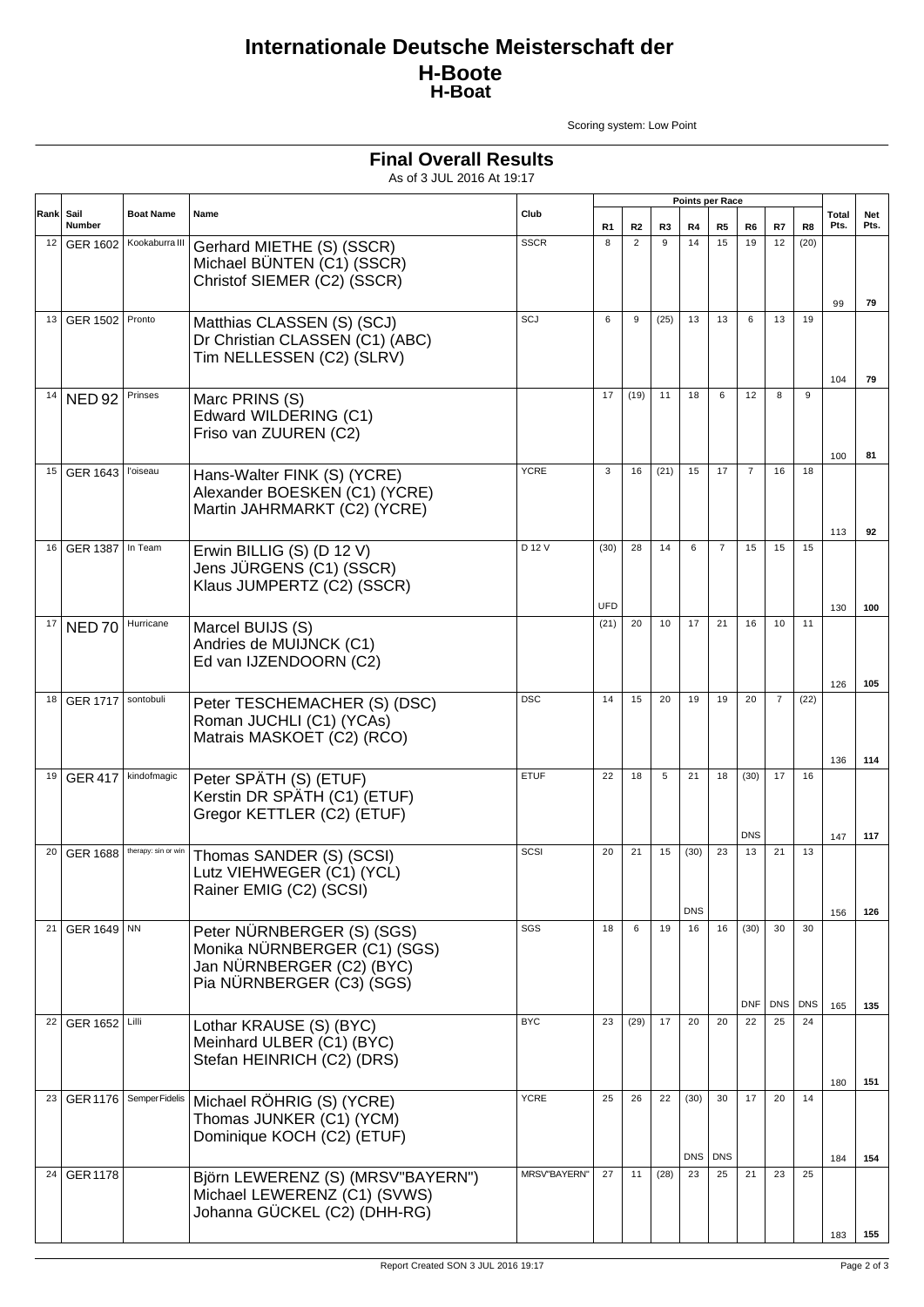## **Internationale Deutsche Meisterschaft der H-Boote H-Boat**

**Final Overall Results** As of 3 JUL 2016 At 19:17

Scoring system: Low Point

| Sail<br>Rank |                          |                         |                                                                                                                      |                     |             | Points per Race |                |                    |                  |                    |                |      |               |             |
|--------------|--------------------------|-------------------------|----------------------------------------------------------------------------------------------------------------------|---------------------|-------------|-----------------|----------------|--------------------|------------------|--------------------|----------------|------|---------------|-------------|
|              | Number                   | <b>Boat Name</b>        | Name                                                                                                                 | Club                | R1          | R2              | R <sub>3</sub> | R4                 | R <sub>5</sub>   | R <sub>6</sub>     | R7             | R8   | Total<br>Pts. | Net<br>Pts. |
| 12           | GER 1602                 | Kookaburra III          | Gerhard MIETHE (S) (SSCR)<br>Michael BÜNTEN (C1) (SSCR)<br>Christof SIEMER (C2) (SSCR)                               | <b>SSCR</b>         | 8           | $\overline{2}$  | 9              | 14                 | 15               | 19                 | 12             | (20) | 99            | 79          |
| 13           | <b>GER 1502   Pronto</b> |                         | Matthias CLASSEN (S) (SCJ)<br>Dr Christian CLASSEN (C1) (ABC)<br>Tim NELLESSEN (C2) (SLRV)                           | SCJ                 | 6           | 9               | (25)           | 13                 | 13               | 6                  | 13             | 19   | 104           | 79          |
| 14           | <b>NED 92</b>            | Prinses                 | Marc PRINS (S)<br>Edward WILDERING (C1)<br>Friso van ZUUREN (C2)                                                     |                     | 17          | (19)            | 11             | 18                 | 6                | 12                 | 8              | 9    | 100           | 81          |
|              | 15 GER 1643              | l'oiseau                | Hans-Walter FINK (S) (YCRE)<br>Alexander BOESKEN (C1) (YCRE)<br>Martin JAHRMARKT (C2) (YCRE)                         | <b>YCRE</b>         | 3           | 16              | (21)           | 15                 | 17               | $\overline{7}$     | 16             | 18   | 113           | 92          |
| 16           | <b>GER 1387</b>          | In Team                 | Erwin BILLIG (S) (D 12 V)<br>Jens JÜRGENS (C1) (SSCR)<br>Klaus JUMPERTZ (C2) (SSCR)                                  | D 12 V              | (30)<br>UFD | 28              | 14             | 6                  | $\overline{7}$   | 15                 | 15             | 15   |               | 100         |
| 17           | <b>NED70</b>             | Hurricane               | Marcel BUIJS (S)<br>Andries de MUIJNCK (C1)<br>Ed van IJZENDOORN (C2)                                                |                     | (21)        | 20              | 10             | 17                 | 21               | 16                 | 10             | 11   | 130<br>126    | 105         |
| 18           | GER 1717   sontobuli     |                         | Peter TESCHEMACHER (S) (DSC)<br>Roman JUCHLI (C1) (YCAs)<br>Matrais MASKOET (C2) (RCO)                               | <b>DSC</b>          | 14          | 15              | 20             | 19                 | 19               | 20                 | $\overline{7}$ | (22) | 136           | 114         |
| 19           | <b>GER 417</b>           | kindofmagic             | Peter SPÄTH (S) (ETUF)<br>Kerstin DR SPÄTH (C1) (ETUF)<br>Gregor KETTLER (C2) (ETUF)                                 | <b>ETUF</b>         | 22          | 18              | 5              | 21                 | 18               | (30)<br><b>DNS</b> | 17             | 16   | 147           | 117         |
|              | 20 GER 1688              | therapy: sin or win     | Thomas SANDER (S) (SCSI)<br>Lutz VIEHWEGER (C1) (YCL)<br>Rainer EMIG (C2) (SCSI)                                     | SCSI                | 20          | 21              | 15             | (30)<br><b>DNS</b> | 23               | 13                 | 21             | 13   | 156           | 126         |
| 21           | GER 1649 NN              |                         | Peter NÜRNBERGER (S) (SGS)<br>Monika NÜRNBERGER (C1) (SGS)<br>Jan NÜRNBERGER (C2) (BYC)<br>Pia NÜRNBERGER (C3) (SGS) | SGS                 | 18          | 6               | 19             | 16                 | 16               | (30)<br><b>DNF</b> | 30<br>DNS DNS  | 30   | 165           | 135         |
| 22           | GER 1652   Lilli         |                         | Lothar KRAUSE (S) (BYC)<br>Meinhard ULBER (C1) (BYC)<br>Stefan HEINRICH (C2) (DRS)                                   | <b>BYC</b>          | 23          | (29)            | 17             | 20                 | 20               | 22                 | 25             | 24   | 180           | 151         |
| 23           |                          | GER 1176 Semper Fidelis | Michael RÖHRIG (S) (YCRE)<br>Thomas JUNKER (C1) (YCM)<br>Dominique KOCH (C2) (ETUF)                                  | <b>YCRE</b>         | 25          | 26              | 22             | (30)<br><b>DNS</b> | 30<br><b>DNS</b> | 17                 | 20             | 14   | 184           | 154         |
|              | 24 GER 1178              |                         | Björn LEWERENZ (S) (MRSV"BAYERN")<br>Michael LEWERENZ (C1) (SVWS)<br>Johanna GÜCKEL (C2) (DHH-RG)                    | <b>MRSV"BAYERN"</b> | 27          | 11              | (28)           | 23                 | 25               | 21                 | 23             | 25   | 183           | 155         |